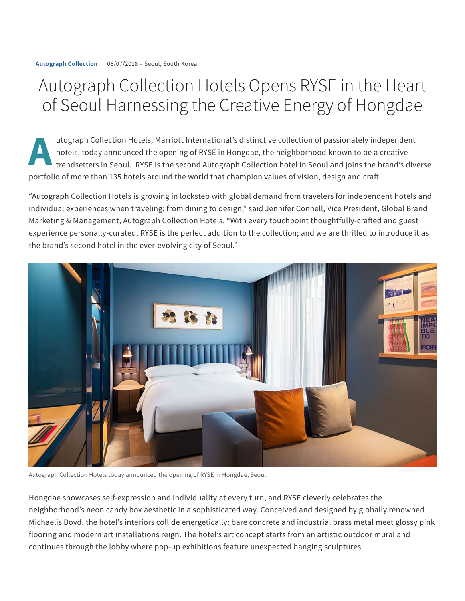## Autograph Collection Hotels Opens RYSE in the Heart of Seoul Harnessing the Creative Energy of Hongdae

A tot utograph Collection Hotels, Marriott International's distinctive collection of passionately independent hotels, today announced the opening of RYSE in Hongdae, the neighborhood known to be a creative trendsetters in Seoul. RYSE is the second Autograph Collection hotel in Seoul and joins the brand's diverse portfolio of more than 135 hotels around the world that champion values of vision, design and craft.

"Autograph Collection Hotels is growing in lockstep with global demand from travelers for independent hotels and individual experiences when traveling: from dining to design," said Jennifer Connell, Vice President, Global Brand Marketing & Management, Autograph Collection Hotels. "With every touchpoint thoughtfully-crafted and guest experience personally-curated, RYSE is the perfect addition to the collection; and we are thrilled to introduce it as the brand's second hotel in the ever-evolving city of Seoul."



Autograph Collection Hotels today announced the opening of RYSE in Hongdae, Seoul.

Hongdae showcases self-expression and individuality at every turn, and RYSE cleverly celebrates the neighborhood's neon candy box aesthetic in a sophisticated way. Conceived and designed by globally renowned Michaelis Boyd, the hotel's interiors collide energetically: bare concrete and industrial brass metal meet glossy pink flooring and modern art installations reign. The hotel's art concept starts from an artistic outdoor mural and continues through the lobby where pop-up exhibitions feature unexpected hanging sculptures.